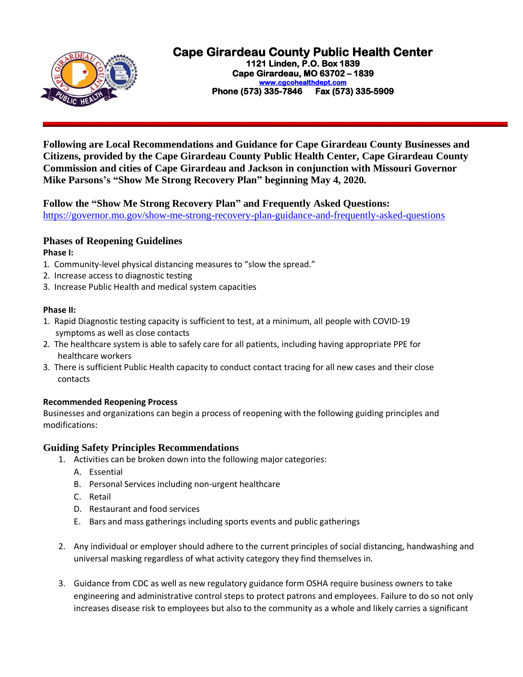

# **Cape Girardeau County Public Health Center**

**1121 Linden, P.O. Box 1839 Cape Girardeau, MO 63702 – 1839 [www.cgcohealthdept.com](http://www.cgcohealthdept.com/)  Phone (573) 335-7846 Fax (573) 335-5909** 

**Following are Local Recommendations and Guidance for Cape Girardeau County Businesses and Citizens, provided by the Cape Girardeau County Public Health Center, Cape Girardeau County Commission and cities of Cape Girardeau and Jackson in conjunction with Missouri Governor Mike Parsons's "Show Me Strong Recovery Plan" beginning May 4, 2020.**

## **Follow the "Show Me Strong Recovery Plan" and Frequently Asked Questions:**

<https://governor.mo.gov/show-me-strong-recovery-plan-guidance-and-frequently-asked-questions>

# **Phases of Reopening Guidelines**

#### **Phase I:**

- 1. Community-level physical distancing measures to "slow the spread."
- 2. Increase access to diagnostic testing
- 3. Increase Public Health and medical system capacities

### **Phase II:**

- 1. Rapid Diagnostic testing capacity is sufficient to test, at a minimum, all people with COVID-19 symptoms as well as close contacts
- 2. The healthcare system is able to safely care for all patients, including having appropriate PPE for healthcare workers
- 3. There is sufficient Public Health capacity to conduct contact tracing for all new cases and their close contacts

### **Recommended Reopening Process**

Businesses and organizations can begin a process of reopening with the following guiding principles and modifications:

## **Guiding Safety Principles Recommendations**

- 1. Activities can be broken down into the following major categories:
	- A. Essential
	- B. Personal Services including non-urgent healthcare
	- C. Retail
	- D. Restaurant and food services
	- E. Bars and mass gatherings including sports events and public gatherings
- 2. Any individual or employer should adhere to the current principles of social distancing, handwashing and universal masking regardless of what activity category they find themselves in.
- 3. Guidance from CDC as well as new regulatory guidance form OSHA require business owners to take engineering and administrative control steps to protect patrons and employees. Failure to do so not only increases disease risk to employees but also to the community as a whole and likely carries a significant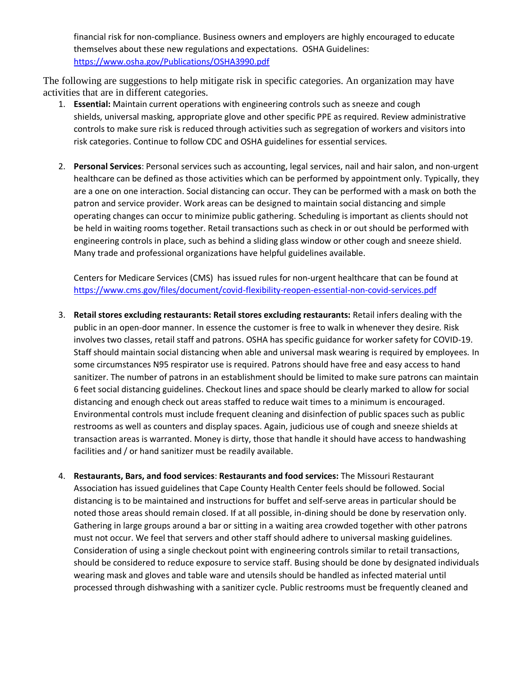financial risk for non-compliance. Business owners and employers are highly encouraged to educate themselves about these new regulations and expectations. OSHA Guidelines: <https://www.osha.gov/Publications/OSHA3990.pdf>

The following are suggestions to help mitigate risk in specific categories. An organization may have activities that are in different categories.

- 1. **Essential:** Maintain current operations with engineering controls such as sneeze and cough shields, universal masking, appropriate glove and other specific PPE as required. Review administrative controls to make sure risk is reduced through activities such as segregation of workers and visitors into risk categories. Continue to follow CDC and OSHA guidelines for essential services.
- 2. **Personal Services**: Personal services such as accounting, legal services, nail and hair salon, and non-urgent healthcare can be defined as those activities which can be performed by appointment only. Typically, they are a one on one interaction. Social distancing can occur. They can be performed with a mask on both the patron and service provider. Work areas can be designed to maintain social distancing and simple operating changes can occur to minimize public gathering. Scheduling is important as clients should not be held in waiting rooms together. Retail transactions such as check in or out should be performed with engineering controls in place, such as behind a sliding glass window or other cough and sneeze shield. Many trade and professional organizations have helpful guidelines available.

Centers for Medicare Services (CMS) has issued rules for non-urgent healthcare that can be found at <https://www.cms.gov/files/document/covid-flexibility-reopen-essential-non-covid-services.pdf>

- 3. **Retail stores excluding restaurants: Retail stores excluding restaurants:** Retail infers dealing with the public in an open-door manner. In essence the customer is free to walk in whenever they desire. Risk involves two classes, retail staff and patrons. OSHA has specific guidance for worker safety for COVID-19. Staff should maintain social distancing when able and universal mask wearing is required by employees. In some circumstances N95 respirator use is required. Patrons should have free and easy access to hand sanitizer. The number of patrons in an establishment should be limited to make sure patrons can maintain 6 feet social distancing guidelines. Checkout lines and space should be clearly marked to allow for social distancing and enough check out areas staffed to reduce wait times to a minimum is encouraged. Environmental controls must include frequent cleaning and disinfection of public spaces such as public restrooms as well as counters and display spaces. Again, judicious use of cough and sneeze shields at transaction areas is warranted. Money is dirty, those that handle it should have access to handwashing facilities and / or hand sanitizer must be readily available.
- 4. **Restaurants, Bars, and food services**: **Restaurants and food services:** The Missouri Restaurant Association has issued guidelines that Cape County Health Center feels should be followed. Social distancing is to be maintained and instructions for buffet and self-serve areas in particular should be noted those areas should remain closed. If at all possible, in-dining should be done by reservation only. Gathering in large groups around a bar or sitting in a waiting area crowded together with other patrons must not occur. We feel that servers and other staff should adhere to universal masking guidelines. Consideration of using a single checkout point with engineering controls similar to retail transactions, should be considered to reduce exposure to service staff. Busing should be done by designated individuals wearing mask and gloves and table ware and utensils should be handled as infected material until processed through dishwashing with a sanitizer cycle. Public restrooms must be frequently cleaned and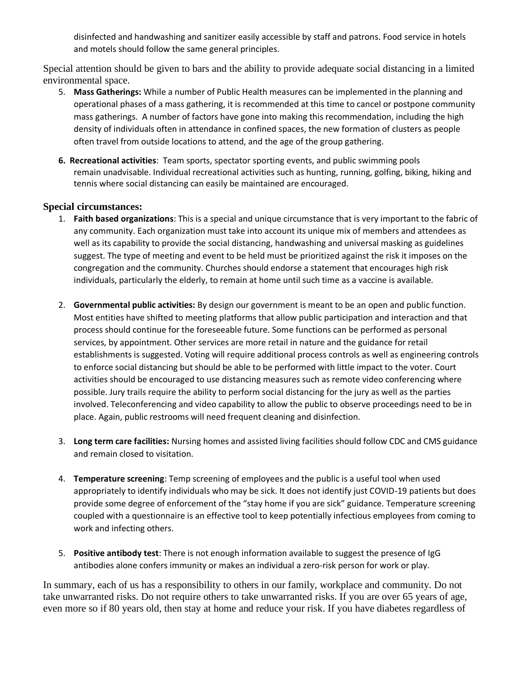disinfected and handwashing and sanitizer easily accessible by staff and patrons. Food service in hotels and motels should follow the same general principles.

Special attention should be given to bars and the ability to provide adequate social distancing in a limited environmental space.

- 5. **Mass Gatherings:** While a number of Public Health measures can be implemented in the planning and operational phases of a mass gathering, it is recommended at this time to cancel or postpone community mass gatherings. A number of factors have gone into making this recommendation, including the high density of individuals often in attendance in confined spaces, the new formation of clusters as people often travel from outside locations to attend, and the age of the group gathering.
- **6. Recreational activities**: Team sports, spectator sporting events, and public swimming pools remain unadvisable. Individual recreational activities such as hunting, running, golfing, biking, hiking and tennis where social distancing can easily be maintained are encouraged.

### **Special circumstances:**

- 1. **Faith based organizations**: This is a special and unique circumstance that is very important to the fabric of any community. Each organization must take into account its unique mix of members and attendees as well as its capability to provide the social distancing, handwashing and universal masking as guidelines suggest. The type of meeting and event to be held must be prioritized against the risk it imposes on the congregation and the community. Churches should endorse a statement that encourages high risk individuals, particularly the elderly, to remain at home until such time as a vaccine is available.
- 2. **Governmental public activities:** By design our government is meant to be an open and public function. Most entities have shifted to meeting platforms that allow public participation and interaction and that process should continue for the foreseeable future. Some functions can be performed as personal services, by appointment. Other services are more retail in nature and the guidance for retail establishments is suggested. Voting will require additional process controls as well as engineering controls to enforce social distancing but should be able to be performed with little impact to the voter. Court activities should be encouraged to use distancing measures such as remote video conferencing where possible. Jury trails require the ability to perform social distancing for the jury as well as the parties involved. Teleconferencing and video capability to allow the public to observe proceedings need to be in place. Again, public restrooms will need frequent cleaning and disinfection.
- 3. **Long term care facilities:** Nursing homes and assisted living facilities should follow CDC and CMS guidance and remain closed to visitation.
- 4. **Temperature screening**: Temp screening of employees and the public is a useful tool when used appropriately to identify individuals who may be sick. It does not identify just COVID-19 patients but does provide some degree of enforcement of the "stay home if you are sick" guidance. Temperature screening coupled with a questionnaire is an effective tool to keep potentially infectious employees from coming to work and infecting others.
- 5. **Positive antibody test**: There is not enough information available to suggest the presence of IgG antibodies alone confers immunity or makes an individual a zero-risk person for work or play.

In summary, each of us has a responsibility to others in our family, workplace and community. Do not take unwarranted risks. Do not require others to take unwarranted risks. If you are over 65 years of age, even more so if 80 years old, then stay at home and reduce your risk. If you have diabetes regardless of